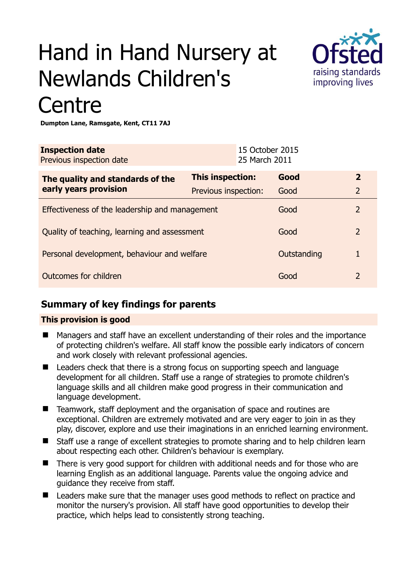# Hand in Hand Nursery at Newlands Children's **Centre**



**Dumpton Lane, Ramsgate, Kent, CT11 7AJ** 

| <b>Inspection date</b><br>Previous inspection date        |                      | 15 October 2015<br>25 March 2011 |             |                |
|-----------------------------------------------------------|----------------------|----------------------------------|-------------|----------------|
| The quality and standards of the<br>early years provision | This inspection:     |                                  | Good        | $\mathbf{2}$   |
|                                                           | Previous inspection: |                                  | Good        | $\overline{2}$ |
| Effectiveness of the leadership and management            |                      |                                  | Good        | $\overline{2}$ |
| Quality of teaching, learning and assessment              |                      |                                  | Good        | 2              |
| Personal development, behaviour and welfare               |                      |                                  | Outstanding | 1              |
| Outcomes for children                                     |                      |                                  | Good        | 2              |

## **Summary of key findings for parents**

#### **This provision is good**

- Managers and staff have an excellent understanding of their roles and the importance of protecting children's welfare. All staff know the possible early indicators of concern and work closely with relevant professional agencies.
- Leaders check that there is a strong focus on supporting speech and language development for all children. Staff use a range of strategies to promote children's language skills and all children make good progress in their communication and language development.
- Teamwork, staff deployment and the organisation of space and routines are exceptional. Children are extremely motivated and are very eager to join in as they play, discover, explore and use their imaginations in an enriched learning environment.
- Staff use a range of excellent strategies to promote sharing and to help children learn about respecting each other. Children's behaviour is exemplary.
- There is very good support for children with additional needs and for those who are learning English as an additional language. Parents value the ongoing advice and guidance they receive from staff.
- Leaders make sure that the manager uses good methods to reflect on practice and monitor the nursery's provision. All staff have good opportunities to develop their practice, which helps lead to consistently strong teaching.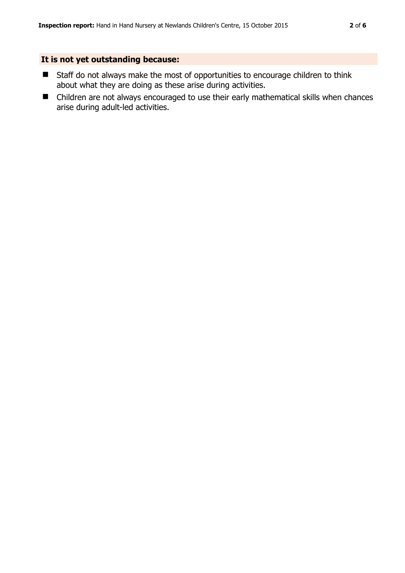### **It is not yet outstanding because:**

- Staff do not always make the most of opportunities to encourage children to think about what they are doing as these arise during activities.
- Children are not always encouraged to use their early mathematical skills when chances arise during adult-led activities.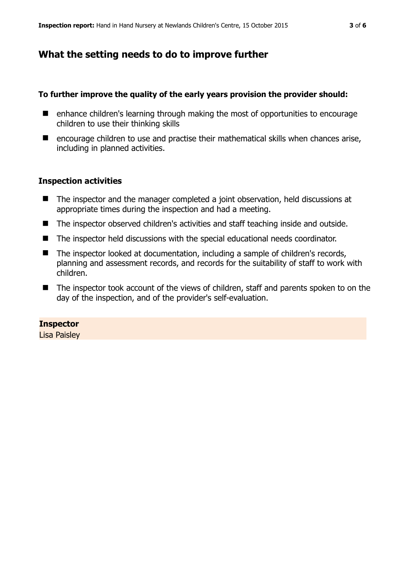## **What the setting needs to do to improve further**

#### **To further improve the quality of the early years provision the provider should:**

- enhance children's learning through making the most of opportunities to encourage children to use their thinking skills
- $\blacksquare$  encourage children to use and practise their mathematical skills when chances arise, including in planned activities.

#### **Inspection activities**

- The inspector and the manager completed a joint observation, held discussions at appropriate times during the inspection and had a meeting.
- The inspector observed children's activities and staff teaching inside and outside.
- The inspector held discussions with the special educational needs coordinator.
- The inspector looked at documentation, including a sample of children's records, planning and assessment records, and records for the suitability of staff to work with children.
- The inspector took account of the views of children, staff and parents spoken to on the day of the inspection, and of the provider's self-evaluation.

#### **Inspector**

Lisa Paisley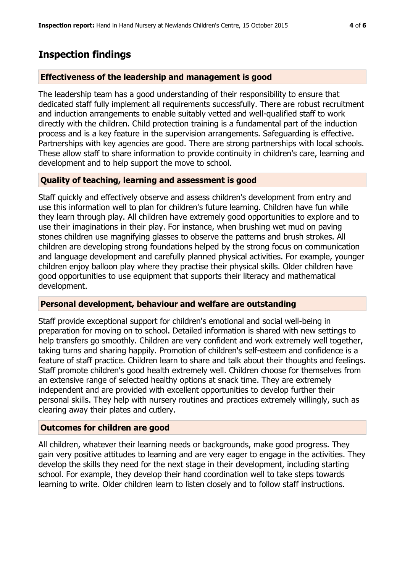## **Inspection findings**

#### **Effectiveness of the leadership and management is good**

The leadership team has a good understanding of their responsibility to ensure that dedicated staff fully implement all requirements successfully. There are robust recruitment and induction arrangements to enable suitably vetted and well-qualified staff to work directly with the children. Child protection training is a fundamental part of the induction process and is a key feature in the supervision arrangements. Safeguarding is effective. Partnerships with key agencies are good. There are strong partnerships with local schools. These allow staff to share information to provide continuity in children's care, learning and development and to help support the move to school.

#### **Quality of teaching, learning and assessment is good**

Staff quickly and effectively observe and assess children's development from entry and use this information well to plan for children's future learning. Children have fun while they learn through play. All children have extremely good opportunities to explore and to use their imaginations in their play. For instance, when brushing wet mud on paving stones children use magnifying glasses to observe the patterns and brush strokes. All children are developing strong foundations helped by the strong focus on communication and language development and carefully planned physical activities. For example, younger children enjoy balloon play where they practise their physical skills. Older children have good opportunities to use equipment that supports their literacy and mathematical development.

#### **Personal development, behaviour and welfare are outstanding**

Staff provide exceptional support for children's emotional and social well-being in preparation for moving on to school. Detailed information is shared with new settings to help transfers go smoothly. Children are very confident and work extremely well together, taking turns and sharing happily. Promotion of children's self-esteem and confidence is a feature of staff practice. Children learn to share and talk about their thoughts and feelings. Staff promote children's good health extremely well. Children choose for themselves from an extensive range of selected healthy options at snack time. They are extremely independent and are provided with excellent opportunities to develop further their personal skills. They help with nursery routines and practices extremely willingly, such as clearing away their plates and cutlery.

#### **Outcomes for children are good**

All children, whatever their learning needs or backgrounds, make good progress. They gain very positive attitudes to learning and are very eager to engage in the activities. They develop the skills they need for the next stage in their development, including starting school. For example, they develop their hand coordination well to take steps towards learning to write. Older children learn to listen closely and to follow staff instructions.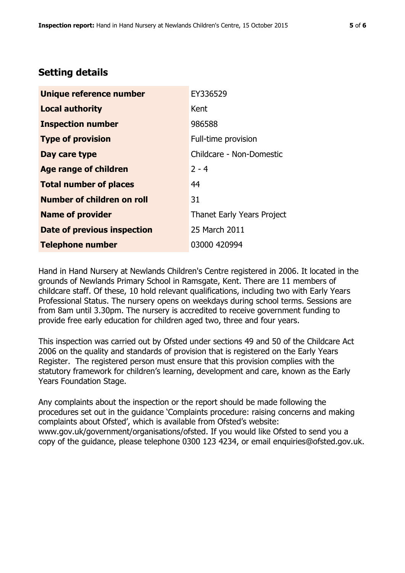## **Setting details**

| Unique reference number            | EY336529                   |  |
|------------------------------------|----------------------------|--|
| <b>Local authority</b>             | Kent                       |  |
| <b>Inspection number</b>           | 986588                     |  |
| <b>Type of provision</b>           | Full-time provision        |  |
| Day care type                      | Childcare - Non-Domestic   |  |
| Age range of children              | $2 - 4$                    |  |
| <b>Total number of places</b>      | 44                         |  |
| Number of children on roll         | 31                         |  |
| <b>Name of provider</b>            | Thanet Early Years Project |  |
| <b>Date of previous inspection</b> | 25 March 2011              |  |
| <b>Telephone number</b>            | 03000 420994               |  |

Hand in Hand Nursery at Newlands Children's Centre registered in 2006. It located in the grounds of Newlands Primary School in Ramsgate, Kent. There are 11 members of childcare staff. Of these, 10 hold relevant qualifications, including two with Early Years Professional Status. The nursery opens on weekdays during school terms. Sessions are from 8am until 3.30pm. The nursery is accredited to receive government funding to provide free early education for children aged two, three and four years.

This inspection was carried out by Ofsted under sections 49 and 50 of the Childcare Act 2006 on the quality and standards of provision that is registered on the Early Years Register. The registered person must ensure that this provision complies with the statutory framework for children's learning, development and care, known as the Early Years Foundation Stage.

Any complaints about the inspection or the report should be made following the procedures set out in the guidance 'Complaints procedure: raising concerns and making complaints about Ofsted', which is available from Ofsted's website: www.gov.uk/government/organisations/ofsted. If you would like Ofsted to send you a copy of the guidance, please telephone 0300 123 4234, or email enquiries@ofsted.gov.uk.